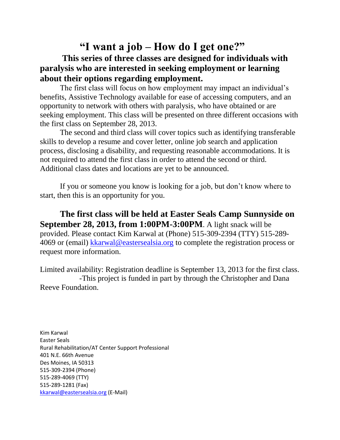## **"I want a job – How do I get one?" This series of three classes are designed for individuals with paralysis who are interested in seeking employment or learning about their options regarding employment.**

The first class will focus on how employment may impact an individual's benefits, Assistive Technology available for ease of accessing computers, and an opportunity to network with others with paralysis, who have obtained or are seeking employment. This class will be presented on three different occasions with the first class on September 28, 2013.

The second and third class will cover topics such as identifying transferable skills to develop a resume and cover letter, online job search and application process, disclosing a disability, and requesting reasonable accommodations. It is not required to attend the first class in order to attend the second or third. Additional class dates and locations are yet to be announced.

If you or someone you know is looking for a job, but don't know where to start, then this is an opportunity for you.

**The first class will be held at Easter Seals Camp Sunnyside on September 28, 2013, from 1:00PM-3:00PM**. A light snack will be provided. Please contact Kim Karwal at (Phone) 515-309-2394 (TTY) 515-289- 4069 or (email) [kkarwal@eastersealsia.org](mailto:kkarwal@eastersealaia.org) to complete the registration process or request more information.

Limited availability: Registration deadline is September 13, 2013 for the first class. -This project is funded in part by through the Christopher and Dana Reeve Foundation.

Kim Karwal Easter Seals Rural Rehabilitation/AT Center Support Professional 401 N.E. 66th Avenue Des Moines, IA 50313 515-309-2394 (Phone) 515-289-4069 (TTY) 515-289-1281 (Fax) [kkarwal@eastersealsia.org](mailto:tkeninger@eastersealsia.org) (E-Mail)